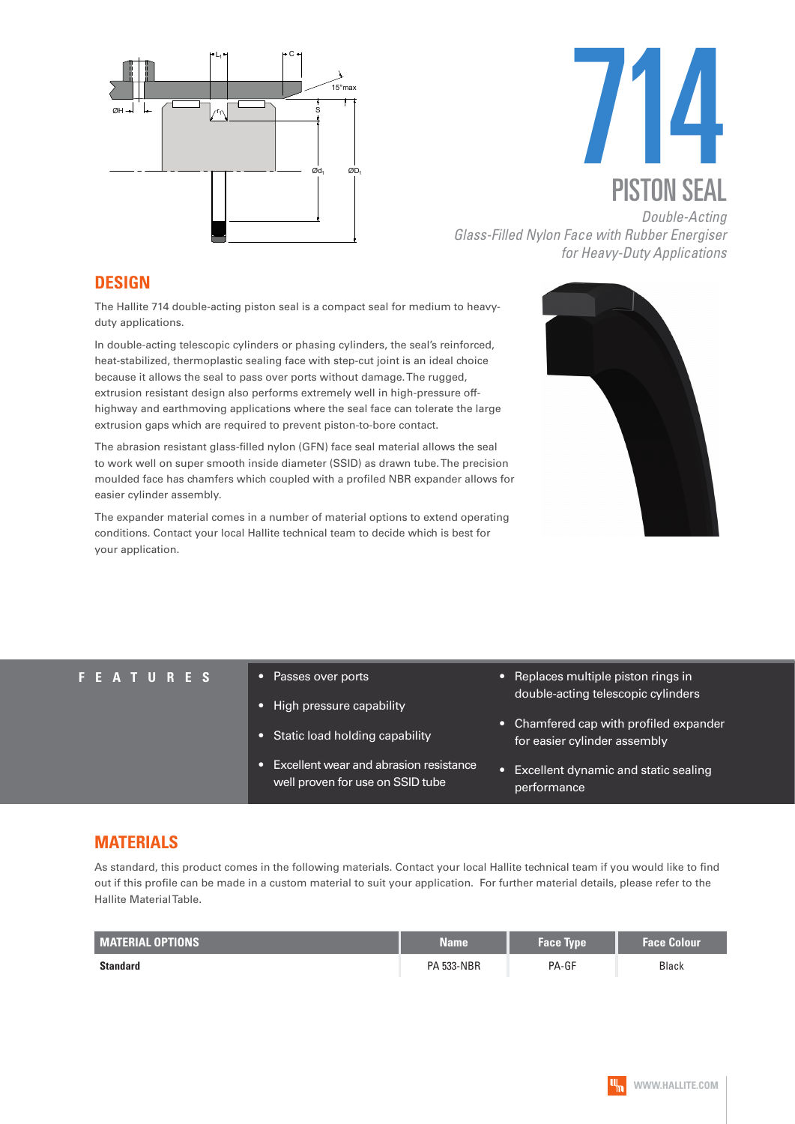



*Glass-Filled Nylon Face with Rubber Energiser for Heavy-Duty Applications*

#### **DESIGN**

The Hallite 714 double-acting piston seal is a compact seal for medium to heavyduty applications.

In double-acting telescopic cylinders or phasing cylinders, the seal's reinforced, heat-stabilized, thermoplastic sealing face with step-cut joint is an ideal choice because it allows the seal to pass over ports without damage. The rugged, extrusion resistant design also performs extremely well in high-pressure offhighway and earthmoving applications where the seal face can tolerate the large extrusion gaps which are required to prevent piston-to-bore contact.

The abrasion resistant glass-filled nylon (GFN) face seal material allows the seal to work well on super smooth inside diameter (SSID) as drawn tube. The precision moulded face has chamfers which coupled with a profiled NBR expander allows for easier cylinder assembly.

The expander material comes in a number of material options to extend operating conditions. Contact your local Hallite technical team to decide which is best for your application.



#### **FEATURES** • Passes over ports

- High pressure capability
- Static load holding capability
- Excellent wear and abrasion resistance well proven for use on SSID tube
- Replaces multiple piston rings in double-acting telescopic cylinders
- Chamfered cap with profiled expander for easier cylinder assembly
- Excellent dynamic and static sealing performance

### **MATERIALS**

As standard, this product comes in the following materials. Contact your local Hallite technical team if you would like to find out if this profile can be made in a custom material to suit your application. For further material details, please refer to the Hallite Material Table.

| <b>MATERIAL OPTIONS</b> | <b>Name</b>       | <b>Face Type</b> | <b>Face Colour</b> |
|-------------------------|-------------------|------------------|--------------------|
| <b>Standard</b>         | <b>PA 533-NBR</b> | PA-GF            | Black              |

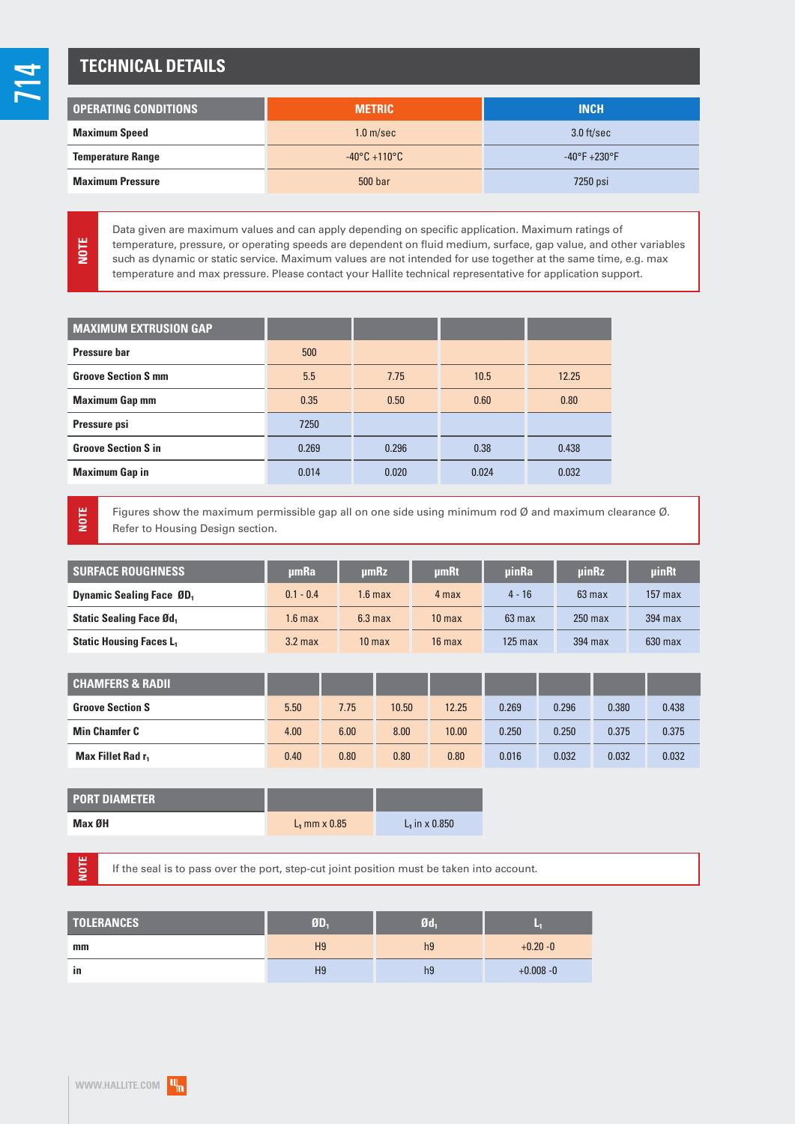## **TECHNICAL DETAILS**

| <b>OPERATING CONDITIONS</b> | <b>METRIC</b>                     | <b>INCH</b>                   |
|-----------------------------|-----------------------------------|-------------------------------|
| <b>Maximum Speed</b>        | 1.0 <sub>m/sec</sub>              | $3.0$ ft/sec                  |
| <b>Temperature Range</b>    | $-40^{\circ}$ C +110 $^{\circ}$ C | $-40^{\circ}F + 230^{\circ}F$ |
| <b>Maximum Pressure</b>     | 500 bar                           | 7250 psi                      |

Data given are maximum values and can apply depending on specific application. Maximum ratings of temperature, pressure, or operating speeds are dependent on fluid medium, surface, gap value, and other variables such as dynamic or static service. Maximum values are not intended for use together at the same time, e.g. max temperature and max pressure. Please contact your Hallite technical representative for application support.

| <b>MAXIMUM EXTRUSION GAP</b> |       |       |       |       |
|------------------------------|-------|-------|-------|-------|
| Pressure bar                 | 500   |       |       |       |
| <b>Groove Section S mm</b>   | 5.5   | 7.75  | 10.5  | 12.25 |
| <b>Maximum Gap mm</b>        | 0.35  | 0.50  | 0.60  | 0.80  |
| Pressure psi                 | 7250  |       |       |       |
| <b>Groove Section S in</b>   | 0.269 | 0.296 | 0.38  | 0.438 |
| <b>Maximum Gap in</b>        | 0.014 | 0.020 | 0.024 | 0.032 |

**NOTE**

**NOTE**

**NOTE**

Figures show the maximum permissible gap all on one side using minimum rod Ø and maximum clearance Ø. Refer to Housing Design section.

| <b>SURFACE ROUGHNESS</b>                    | umRa               | umRz               | umRt              | <b>uinRa</b> | uinRz     | uinRt     |
|---------------------------------------------|--------------------|--------------------|-------------------|--------------|-----------|-----------|
| <b>Dynamic Sealing Face ØD</b> <sub>1</sub> | $0.1 - 0.4$        | 1.6 max            | 4 max             | $4 - 16$     | 63 max    | $157$ max |
| <b>Static Sealing Face Ød,</b>              | 1.6 max            | 6.3 <sub>max</sub> | 10 <sub>max</sub> | $63$ max     | $250$ max | $394$ max |
| <b>Static Housing Faces L</b>               | 3.2 <sub>max</sub> | 10 <sub>max</sub>  | $16$ max          | $125$ max    | 394 max   | $630$ max |

| <b>CHAMFERS &amp; RADIL</b>   |      |      |       |       |       |       |       |       |
|-------------------------------|------|------|-------|-------|-------|-------|-------|-------|
| <b>Groove Section S</b>       | 5.50 | 7.75 | 10.50 | 12.25 | 0.269 | 0.296 | 0.380 | 0.438 |
| <b>Min Chamfer C</b>          | 4.00 | 6.00 | 8.00  | 10.00 | 0.250 | 0.250 | 0.375 | 0.375 |
| Max Fillet Rad r <sub>1</sub> | 0.40 | 0.80 | 0.80  | 0.80  | 0.016 | 0.032 | 0.032 | 0.032 |

| <b>PORT DIAMETER</b> |                 |                  |
|----------------------|-----------------|------------------|
| Max ØH               | $L_1$ mm x 0.85 | $L_1$ in x 0.850 |

If the seal is to pass over the port, step-cut joint position must be taken into account.

| <b>TOLERANCES</b> | ØD.            | Ød.            | ×            |
|-------------------|----------------|----------------|--------------|
| mm                | H <sub>9</sub> | h <sub>9</sub> | $+0.20 - 0$  |
| in                | H <sub>9</sub> | h <sub>9</sub> | $+0.008 - 0$ |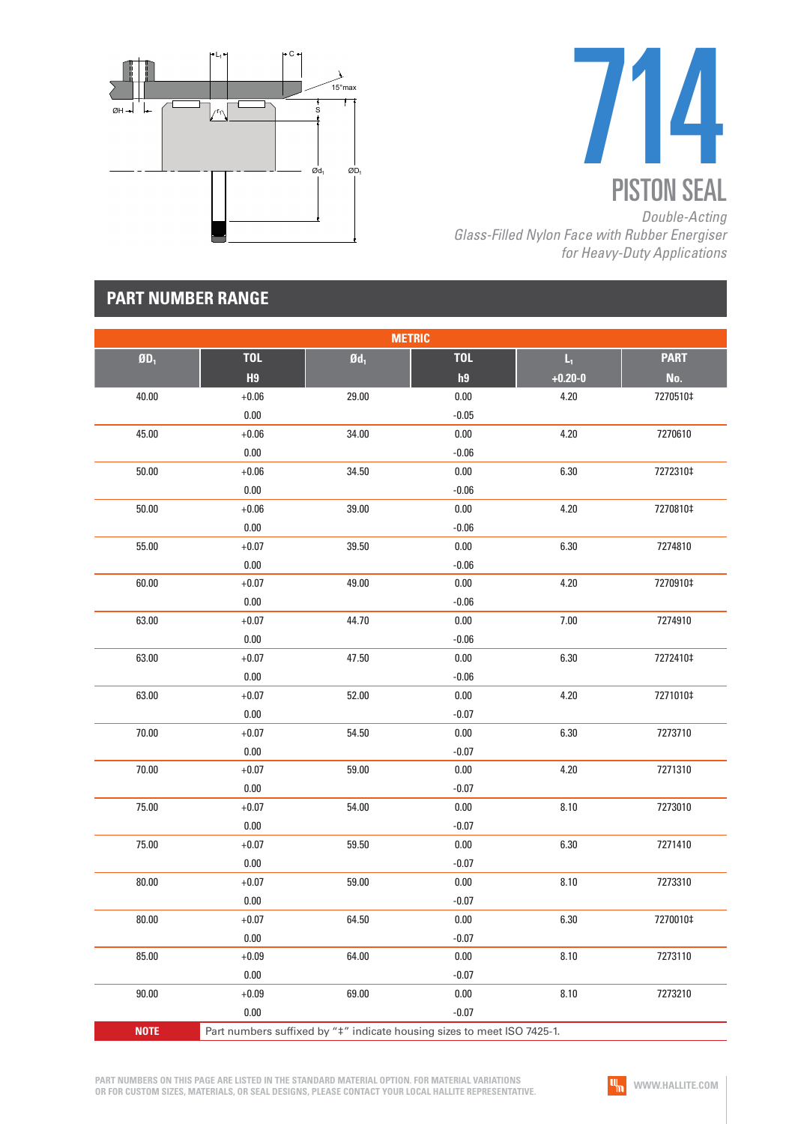



*Glass-Filled Nylon Face with Rubber Energiser for Heavy-Duty Applications*

## **PART NUMBER RANGE**

| <b>METRIC</b> |                |                   |                                                                         |                         |             |  |  |
|---------------|----------------|-------------------|-------------------------------------------------------------------------|-------------------------|-------------|--|--|
| $ØD_1$        | <b>TOL</b>     | $\mathfrak{gd}_1$ | <b>TOL</b>                                                              | $\mathsf{L}_\mathrm{t}$ | <b>PART</b> |  |  |
|               | H <sub>9</sub> |                   | h9                                                                      | $+0.20 - 0$             | No.         |  |  |
| 40.00         | $+0.06$        | 29.00             | $0.00\,$                                                                | 4.20                    | 7270510‡    |  |  |
|               | $0.00\,$       |                   | $-0.05$                                                                 |                         |             |  |  |
| 45.00         | $+0.06$        | 34.00             | $0.00\,$                                                                | 4.20                    | 7270610     |  |  |
|               | $0.00\,$       |                   | $-0.06$                                                                 |                         |             |  |  |
| 50.00         | $+0.06$        | 34.50             | 0.00                                                                    | 6.30                    | 7272310‡    |  |  |
|               | 0.00           |                   | $-0.06$                                                                 |                         |             |  |  |
| 50.00         | $+0.06$        | 39.00             | $0.00\,$                                                                | 4.20                    | 7270810‡    |  |  |
|               | $0.00\,$       |                   | $-0.06$                                                                 |                         |             |  |  |
| 55.00         | $+0.07$        | 39.50             | $0.00\,$                                                                | 6.30                    | 7274810     |  |  |
|               | $0.00\,$       |                   | $-0.06$                                                                 |                         |             |  |  |
| 60.00         | $+0.07$        | 49.00             | $0.00\,$                                                                | 4.20                    | 7270910‡    |  |  |
|               | 0.00           |                   | $-0.06$                                                                 |                         |             |  |  |
| 63.00         | $+0.07$        | 44.70             | $0.00\,$                                                                | 7.00                    | 7274910     |  |  |
|               | $0.00\,$       |                   | $-0.06$                                                                 |                         |             |  |  |
| 63.00         | $+0.07$        | 47.50             | $0.00\,$                                                                | 6.30                    | 7272410‡    |  |  |
|               | $0.00\,$       |                   | $-0.06$                                                                 |                         |             |  |  |
| 63.00         | $+0.07$        | 52.00             | $0.00\,$                                                                | 4.20                    | 7271010‡    |  |  |
|               | 0.00           |                   | $-0.07$                                                                 |                         |             |  |  |
| 70.00         | $+0.07$        | 54.50             | $0.00\,$                                                                | 6.30                    | 7273710     |  |  |
|               | $0.00\,$       |                   | $-0.07$                                                                 |                         |             |  |  |
| 70.00         | $+0.07$        | 59.00             | 0.00                                                                    | 4.20                    | 7271310     |  |  |
|               | $0.00\,$       |                   | $-0.07$                                                                 |                         |             |  |  |
| 75.00         | $+0.07$        | 54.00             | $0.00\,$                                                                | 8.10                    | 7273010     |  |  |
|               | $0.00\,$       |                   | $-0.07$                                                                 |                         |             |  |  |
| 75.00         | $+0.07$        | 59.50             | $0.00\,$                                                                | 6.30                    | 7271410     |  |  |
|               | $0.00\,$       |                   | $-0.07$                                                                 |                         |             |  |  |
| 80.00         | $+0.07$        | 59.00             | 0.00                                                                    | 8.10                    | 7273310     |  |  |
|               | $0.00\,$       |                   | $-0.07$                                                                 |                         |             |  |  |
| 80.00         | $+0.07$        | 64.50             | $0.00\,$                                                                | 6.30                    | 7270010‡    |  |  |
|               | $0.00\,$       |                   | $-0.07$                                                                 |                         |             |  |  |
| 85.00         | $+0.09$        | 64.00             | 0.00                                                                    | 8.10                    | 7273110     |  |  |
|               | $0.00\,$       |                   | $-0.07$                                                                 |                         |             |  |  |
| 90.00         | $+0.09$        | 69.00             | 0.00                                                                    | 8.10                    | 7273210     |  |  |
|               | 0.00           |                   | $-0.07$                                                                 |                         |             |  |  |
| <b>NOTE</b>   |                |                   | Part numbers suffixed by "‡" indicate housing sizes to meet ISO 7425-1. |                         |             |  |  |

**PART NUMBERS ON THIS PAGE ARE LISTED IN THE STANDARD MATERIAL OPTION. FOR MATERIAL VARIATIONS OR FOR CUSTOM SIZES, MATERIALS, OR SEAL DESIGNS, PLEASE CONTACT YOUR LOCAL HALLITE REPRESENTATIVE.**

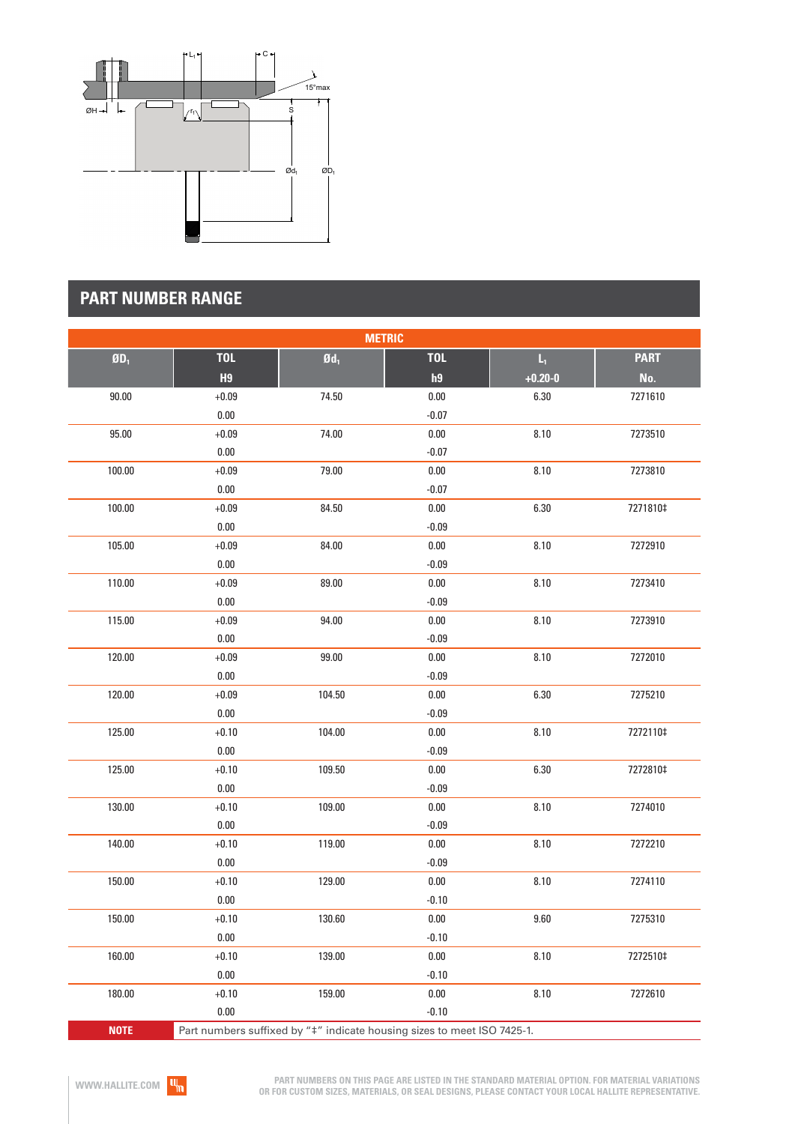

# **PART NUMBER RANGE**

| <b>METRIC</b>            |                                                                         |                   |            |                         |             |  |  |
|--------------------------|-------------------------------------------------------------------------|-------------------|------------|-------------------------|-------------|--|--|
| $\mathbf{0}\mathbf{D}_1$ | <b>TOL</b>                                                              | $\mathfrak{gd}_1$ | <b>TOL</b> | $\mathsf{L}_\mathrm{f}$ | <b>PART</b> |  |  |
|                          | H <sub>9</sub>                                                          |                   | h9         | $+0.20 - 0$             | No.         |  |  |
| 90.00                    | $+0.09$                                                                 | 74.50             | 0.00       | 6.30                    | 7271610     |  |  |
|                          | $0.00\,$                                                                |                   | $-0.07$    |                         |             |  |  |
| 95.00                    | $+0.09$                                                                 | 74.00             | $0.00\,$   | 8.10                    | 7273510     |  |  |
|                          | $0.00\,$                                                                |                   | $-0.07$    |                         |             |  |  |
| 100.00                   | $+0.09$                                                                 | 79.00             | 0.00       | 8.10                    | 7273810     |  |  |
|                          | 0.00                                                                    |                   | $-0.07$    |                         |             |  |  |
| 100.00                   | $+0.09$                                                                 | 84.50             | $0.00\,$   | 6.30                    | 7271810‡    |  |  |
|                          | $0.00\,$                                                                |                   | $-0.09$    |                         |             |  |  |
| 105.00                   | $+0.09$                                                                 | 84.00             | 0.00       | 8.10                    | 7272910     |  |  |
|                          | $0.00\,$                                                                |                   | $-0.09$    |                         |             |  |  |
| 110.00                   | $+0.09$                                                                 | 89.00             | 0.00       | 8.10                    | 7273410     |  |  |
|                          | 0.00                                                                    |                   | $-0.09$    |                         |             |  |  |
| 115.00                   | $+0.09$                                                                 | 94.00             | $0.00\,$   | 8.10                    | 7273910     |  |  |
|                          | $0.00\,$                                                                |                   | $-0.09$    |                         |             |  |  |
| 120.00                   | $+0.09$                                                                 | 99.00             | $0.00\,$   | 8.10                    | 7272010     |  |  |
|                          | $0.00\,$                                                                |                   | $-0.09$    |                         |             |  |  |
| 120.00                   | $+0.09$                                                                 | 104.50            | 0.00       | 6.30                    | 7275210     |  |  |
|                          | $0.00\,$                                                                |                   | $-0.09$    |                         |             |  |  |
| 125.00                   | $+0.10$                                                                 | 104.00            | $0.00\,$   | 8.10                    | 7272110‡    |  |  |
|                          | $0.00\,$                                                                |                   | $-0.09$    |                         |             |  |  |
| 125.00                   | $+0.10$                                                                 | 109.50            | 0.00       | 6.30                    | 7272810‡    |  |  |
|                          | $0.00\,$                                                                |                   | $-0.09$    |                         |             |  |  |
| 130.00                   | $+0.10$                                                                 | 109.00            | $0.00\,$   | 8.10                    | 7274010     |  |  |
|                          | $0.00\,$                                                                |                   | $-0.09$    |                         |             |  |  |
| 140.00                   | $+0.10$                                                                 | 119.00            | $0.00\,$   | 8.10                    | 7272210     |  |  |
|                          | $0.00\,$                                                                |                   | $-0.09$    |                         |             |  |  |
| 150.00                   | $+0.10$                                                                 | 129.00            | 0.00       | 8.10                    | 7274110     |  |  |
|                          | $0.00\,$                                                                |                   | $-0.10$    |                         |             |  |  |
| 150.00                   | $+0.10$                                                                 | 130.60            | $0.00\,$   | 9.60                    | 7275310     |  |  |
|                          | 0.00                                                                    |                   | $-0.10$    |                         |             |  |  |
| 160.00                   | $+0.10$                                                                 | 139.00            | 0.00       | 8.10                    | 7272510‡    |  |  |
|                          | 0.00                                                                    |                   | $-0.10$    |                         |             |  |  |
| 180.00                   | $+0.10$                                                                 | 159.00            | 0.00       | 8.10                    | 7272610     |  |  |
|                          | 0.00                                                                    |                   | $-0.10$    |                         |             |  |  |
| <b>NOTE</b>              | Part numbers suffixed by "#" indicate housing sizes to meet ISO 7425-1. |                   |            |                         |             |  |  |